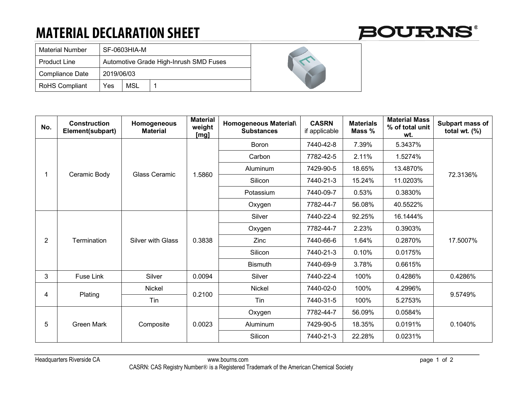## **MATERIAL DECLARATION SHEET**

|  | <b>BOURNS®</b> |
|--|----------------|
|--|----------------|

| <b>Material Number</b> | SF-0603HIA-M                           |            |  |  |  |
|------------------------|----------------------------------------|------------|--|--|--|
| <b>Product Line</b>    | Automotive Grade High-Inrush SMD Fuses |            |  |  |  |
| <b>Compliance Date</b> | 2019/06/03                             |            |  |  |  |
| <b>RoHS Compliant</b>  | Yes                                    | <b>MSL</b> |  |  |  |

| No.            | <b>Construction</b><br>Element(subpart) | Homogeneous<br><b>Material</b> | <b>Material</b><br>weight<br>[mg] | Homogeneous Material\<br><b>Substances</b> | <b>CASRN</b><br>if applicable | <b>Materials</b><br>Mass % | <b>Material Mass</b><br>% of total unit<br>wt. | Subpart mass of<br>total wt. $(\%)$ |
|----------------|-----------------------------------------|--------------------------------|-----------------------------------|--------------------------------------------|-------------------------------|----------------------------|------------------------------------------------|-------------------------------------|
|                | Ceramic Body                            | <b>Glass Ceramic</b>           | 1.5860                            | Boron                                      | 7440-42-8                     | 7.39%                      | 5.3437%                                        | 72.3136%                            |
|                |                                         |                                |                                   | Carbon                                     | 7782-42-5                     | 2.11%                      | 1.5274%                                        |                                     |
|                |                                         |                                |                                   | Aluminum                                   | 7429-90-5                     | 18.65%                     | 13.4870%                                       |                                     |
|                |                                         |                                |                                   | Silicon                                    | 7440-21-3                     | 15.24%                     | 11.0203%                                       |                                     |
|                |                                         |                                |                                   | Potassium                                  | 7440-09-7                     | 0.53%                      | 0.3830%                                        |                                     |
|                |                                         |                                |                                   | Oxygen                                     | 7782-44-7                     | 56.08%                     | 40.5522%                                       |                                     |
| $\overline{2}$ | Termination                             | <b>Silver with Glass</b>       | 0.3838                            | Silver                                     | 7440-22-4                     | 92.25%                     | 16.1444%                                       | 17.5007%                            |
|                |                                         |                                |                                   | Oxygen                                     | 7782-44-7                     | 2.23%                      | 0.3903%                                        |                                     |
|                |                                         |                                |                                   | Zinc                                       | 7440-66-6                     | 1.64%                      | 0.2870%                                        |                                     |
|                |                                         |                                |                                   | Silicon                                    | 7440-21-3                     | 0.10%                      | 0.0175%                                        |                                     |
|                |                                         |                                |                                   | <b>Bismuth</b>                             | 7440-69-9                     | 3.78%                      | 0.6615%                                        |                                     |
| 3              | Fuse Link                               | Silver                         | 0.0094                            | Silver                                     | 7440-22-4                     | 100%                       | 0.4286%                                        | 0.4286%                             |
|                | Plating                                 | <b>Nickel</b>                  | 0.2100                            | <b>Nickel</b>                              | 7440-02-0                     | 100%                       | 4.2996%                                        | 9.5749%                             |
| 4              |                                         | Tin                            |                                   | Tin                                        | 7440-31-5                     | 100%                       | 5.2753%                                        |                                     |
| 5              | <b>Green Mark</b>                       | Composite                      | 0.0023                            | Oxygen                                     | 7782-44-7                     | 56.09%                     | 0.0584%                                        | 0.1040%                             |
|                |                                         |                                |                                   | Aluminum                                   | 7429-90-5                     | 18.35%                     | 0.0191%                                        |                                     |
|                |                                         |                                |                                   | Silicon                                    | 7440-21-3                     | 22.28%                     | 0.0231%                                        |                                     |

Headquarters Riverside CA www.bourns.com page 1 of 2 CASRN: CAS Registry Number® is a Registered Trademark of the American Chemical Society